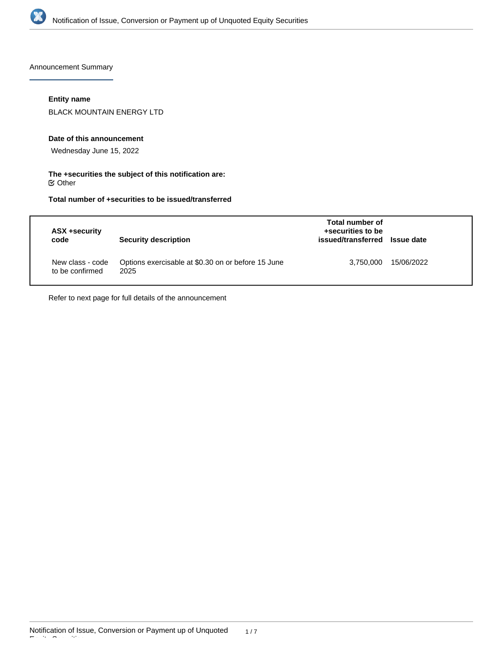

Announcement Summary

# **Entity name**

BLACK MOUNTAIN ENERGY LTD

#### **Date of this announcement**

Wednesday June 15, 2022

## **The +securities the subject of this notification are:**  $\mathfrak S$  Other

# **Total number of +securities to be issued/transferred**

| ASX +security<br>code               | <b>Security description</b>                                | Total number of<br>+securities to be<br>issued/transferred Issue date |            |
|-------------------------------------|------------------------------------------------------------|-----------------------------------------------------------------------|------------|
| New class - code<br>to be confirmed | Options exercisable at \$0.30 on or before 15 June<br>2025 | 3,750,000                                                             | 15/06/2022 |

Refer to next page for full details of the announcement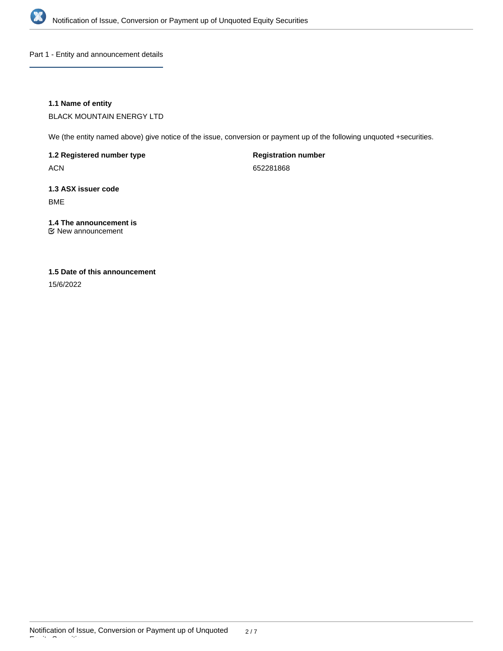

Part 1 - Entity and announcement details

# **1.1 Name of entity**

BLACK MOUNTAIN ENERGY LTD

We (the entity named above) give notice of the issue, conversion or payment up of the following unquoted +securities.

**1.2 Registered number type**

ACN

**Registration number**

652281868

**1.3 ASX issuer code** BME

# **1.4 The announcement is**

New announcement

# **1.5 Date of this announcement**

15/6/2022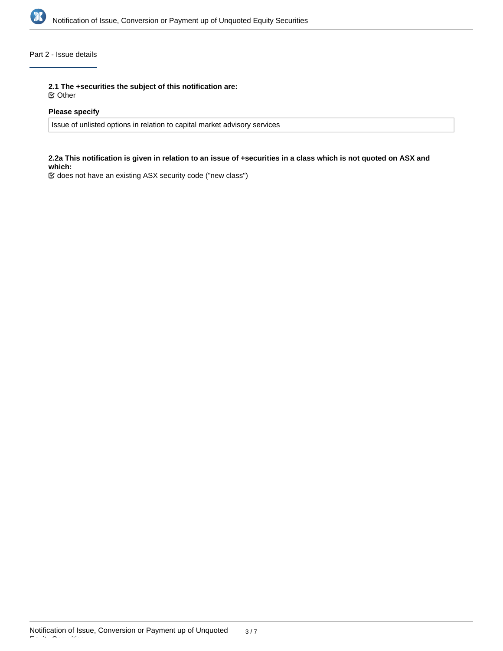

# Part 2 - Issue details

**2.1 The +securities the subject of this notification are:**

Other

# **Please specify**

Issue of unlisted options in relation to capital market advisory services

## **2.2a This notification is given in relation to an issue of +securities in a class which is not quoted on ASX and which:**

does not have an existing ASX security code ("new class")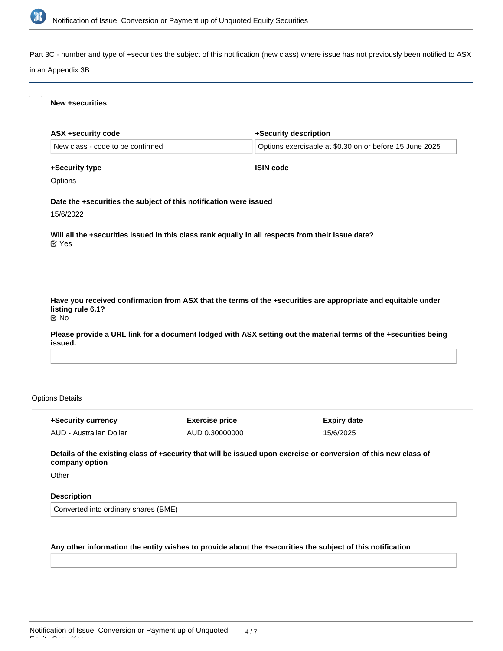

Part 3C - number and type of +securities the subject of this notification (new class) where issue has not previously been notified to ASX

#### in an Appendix 3B

#### **New +securities**

| ASX +security code                     |                                                                                                   | +Security description                                                                                            |
|----------------------------------------|---------------------------------------------------------------------------------------------------|------------------------------------------------------------------------------------------------------------------|
| New class - code to be confirmed       |                                                                                                   | Options exercisable at \$0.30 on or before 15 June 2025                                                          |
| +Security type                         | <b>ISIN code</b>                                                                                  |                                                                                                                  |
| Options                                |                                                                                                   |                                                                                                                  |
|                                        | Date the +securities the subject of this notification were issued                                 |                                                                                                                  |
| 15/6/2022                              |                                                                                                   |                                                                                                                  |
| $\mathfrak{C}$ Yes                     | Will all the +securities issued in this class rank equally in all respects from their issue date? |                                                                                                                  |
|                                        |                                                                                                   |                                                                                                                  |
|                                        |                                                                                                   |                                                                                                                  |
| listing rule 6.1?<br>$\mathfrak{C}$ No |                                                                                                   | Have you received confirmation from ASX that the terms of the +securities are appropriate and equitable under    |
| issued.                                |                                                                                                   | Please provide a URL link for a document lodged with ASX setting out the material terms of the +securities being |
|                                        |                                                                                                   |                                                                                                                  |
|                                        |                                                                                                   |                                                                                                                  |
| ons Details                            |                                                                                                   |                                                                                                                  |
| +Security currency                     | <b>Exercise price</b>                                                                             | <b>Expiry date</b>                                                                                               |

**Details of the existing class of +security that will be issued upon exercise or conversion of this new class of company option**

15/6/2025

AUD 0.30000000

**Other** 

Opti

Equity Securities

## **Description**

AUD - Australian Dollar

Converted into ordinary shares (BME)

# **Any other information the entity wishes to provide about the +securities the subject of this notification**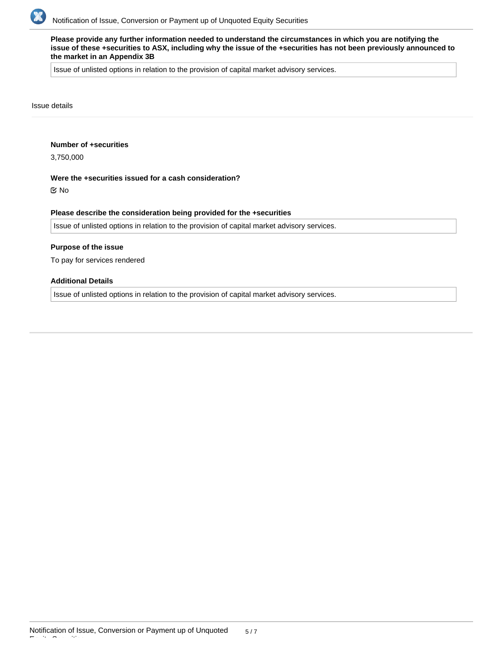

**Please provide any further information needed to understand the circumstances in which you are notifying the issue of these +securities to ASX, including why the issue of the +securities has not been previously announced to the market in an Appendix 3B**

Issue of unlisted options in relation to the provision of capital market advisory services.

#### Issue details

## **Number of +securities**

3,750,000

## **Were the +securities issued for a cash consideration?**

No

#### **Please describe the consideration being provided for the +securities**

Issue of unlisted options in relation to the provision of capital market advisory services.

#### **Purpose of the issue**

To pay for services rendered

## **Additional Details**

Issue of unlisted options in relation to the provision of capital market advisory services.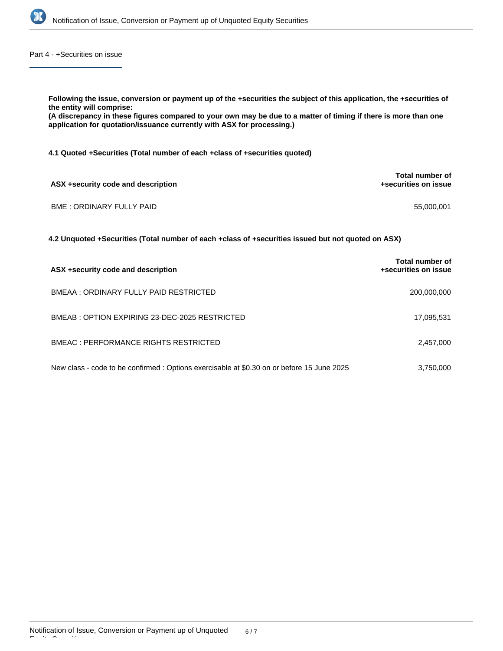

Part 4 - +Securities on issue

| Following the issue, conversion or payment up of the +securities the subject of this application, the +securities of<br>the entity will comprise:<br>(A discrepancy in these figures compared to your own may be due to a matter of timing if there is more than one<br>application for quotation/issuance currently with ASX for processing.) |                                         |  |  |  |  |
|------------------------------------------------------------------------------------------------------------------------------------------------------------------------------------------------------------------------------------------------------------------------------------------------------------------------------------------------|-----------------------------------------|--|--|--|--|
| 4.1 Quoted +Securities (Total number of each +class of +securities quoted)                                                                                                                                                                                                                                                                     |                                         |  |  |  |  |
| ASX +security code and description                                                                                                                                                                                                                                                                                                             | Total number of<br>+securities on issue |  |  |  |  |
| <b>BME: ORDINARY FULLY PAID</b>                                                                                                                                                                                                                                                                                                                | 55,000,001                              |  |  |  |  |
| 4.2 Unquoted +Securities (Total number of each +class of +securities issued but not quoted on ASX)                                                                                                                                                                                                                                             |                                         |  |  |  |  |
| ASX +security code and description                                                                                                                                                                                                                                                                                                             | Total number of<br>+securities on issue |  |  |  |  |
| BMEAA: ORDINARY FULLY PAID RESTRICTED                                                                                                                                                                                                                                                                                                          | 200,000,000                             |  |  |  |  |
| BMEAB: OPTION EXPIRING 23-DEC-2025 RESTRICTED                                                                                                                                                                                                                                                                                                  | 17,095,531                              |  |  |  |  |

| <b>BMEAC: PERFORMANCE RIGHTS RESTRICTED</b> | 2,457,000 |
|---------------------------------------------|-----------|
|                                             |           |

New class - code to be confirmed : Options exercisable at \$0.30 on or before 15 June 2025 3,750,000